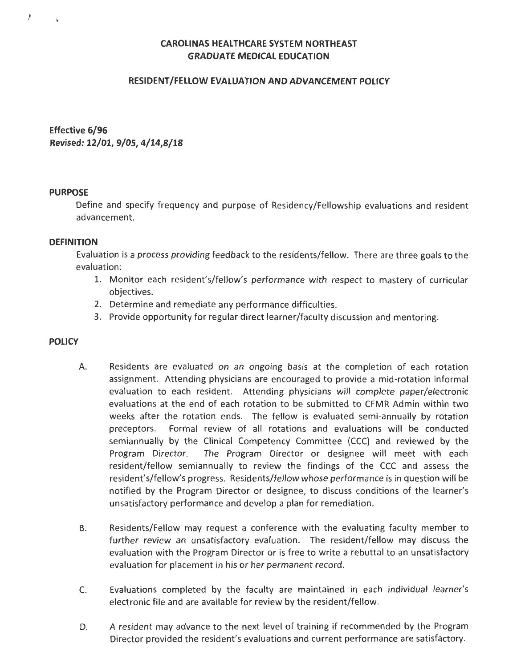# **CAROLINAS HEALTHCARE SYSTEM NORTHEAST GRADUATE MEDICAL EDUCATION**

## **RESIDENT/FELLOW EVALUATION AND ADVANCEMENT POLICY**

**Effective 6/96 Revised: 12/01, 9/05, 4/14,8/18** 

#### **PURPOSE**

 $\mathbf{I}$ 

Define and specify frequency and purpose of Residency/Fellowship evaluations and resident advancement.

## **DEFINITION**

Evaluation is a process providing feedback to the residents/fellow. There are three goals to the evaluation:

- 1. Monitor each resident's/fellow's performance with respect to mastery of curricular objectives.
- 2. Determine and remediate any performance difficulties.
- 3. Provide opportunity for regular direct learner/faculty discussion and mentoring.

# **POLICY**

- A. Residents are evaluated on an ongoing basis at the completion of each rotation assignment. Attending physicians are encouraged to provide a mid-rotation informal evaluation to each resident. Attending physicians will complete paper/electronic evaluations at the end of each rotation to be submitted to CFMR Admin within two weeks after the rotation ends. The fellow is evaluated semi-annually by rotation preceptors. Formal review of all rotations and evaluations will be conducted semiannually by the Clinical Competency Committee (CCC) and reviewed by the Program Director. The Program Director or designee will meet with each resident/fellow semiannually to review the findings of the CCC and assess the resident's/fellow's progress. Residents/fellow whose performance is in question will be notified by the Program Director or designee, to discuss conditions of the learner's unsatisfactory performance and develop a plan for remediation.
- B. Residents/Fellow may request a conference with the evaluating faculty member to further review an unsatisfactory evaluation. The resident/fellow may discuss the evaluation with the Program Director or is free to write a rebuttal to an unsatisfactory evaluation for placement in his or her permanent record.
- C. Evaluations completed by the faculty are maintained in each individual learner's electronic file and are available for review by the resident/fellow.
- D. A resident may advance to the next level of training if recommended by the Program Director provided the resident's evaluations and current performance are satisfactory.